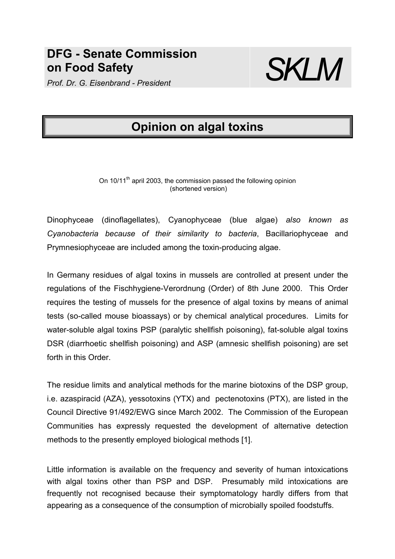## **DFG - Senate Commission on Food Safety** *Prof. Dr. G. Eisenbrand - President* SKLM



## **Opinion on algal toxins**

On 10/11<sup>th</sup> april 2003, the commission passed the following opinion (shortened version)

Dinophyceae (dinoflagellates), Cyanophyceae (blue algae) *also known as Cyanobacteria because of their similarity to bacteria*, Bacillariophyceae and Prymnesiophyceae are included among the toxin-producing algae.

In Germany residues of algal toxins in mussels are controlled at present under the regulations of the Fischhygiene-Verordnung (Order) of 8th June 2000. This Order requires the testing of mussels for the presence of algal toxins by means of animal tests (so-called mouse bioassays) or by chemical analytical procedures. Limits for water-soluble algal toxins PSP (paralytic shellfish poisoning), fat-soluble algal toxins DSR (diarrhoetic shellfish poisoning) and ASP (amnesic shellfish poisoning) are set forth in this Order.

The residue limits and analytical methods for the marine biotoxins of the DSP group, i.e. azaspiracid (AZA), yessotoxins (YTX) and pectenotoxins (PTX), are listed in the Council Directive 91/492/EWG since March 2002. The Commission of the European Communities has expressly requested the development of alternative detection methods to the presently employed biological methods [1].

Little information is available on the frequency and severity of human intoxications with algal toxins other than PSP and DSP. Presumably mild intoxications are frequently not recognised because their symptomatology hardly differs from that appearing as a consequence of the consumption of microbially spoiled foodstuffs.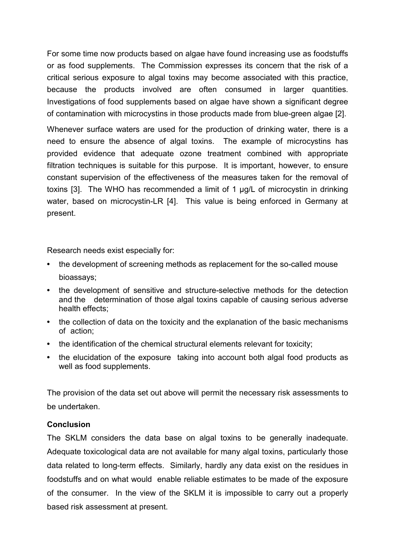For some time now products based on algae have found increasing use as foodstuffs or as food supplements. The Commission expresses its concern that the risk of a critical serious exposure to algal toxins may become associated with this practice, because the products involved are often consumed in larger quantities. Investigations of food supplements based on algae have shown a significant degree of contamination with microcystins in those products made from blue-green algae [2].

Whenever surface waters are used for the production of drinking water, there is a need to ensure the absence of algal toxins. The example of microcystins has provided evidence that adequate ozone treatment combined with appropriate filtration techniques is suitable for this purpose. It is important, however, to ensure constant supervision of the effectiveness of the measures taken for the removal of toxins [3]. The WHO has recommended a limit of 1 µg/L of microcystin in drinking water, based on microcystin-LR [4]. This value is being enforced in Germany at present.

Research needs exist especially for:

- the development of screening methods as replacement for the so-called mouse bioassays;
- **•** the development of sensitive and structure-selective methods for the detection and the determination of those algal toxins capable of causing serious adverse health effects;
- the collection of data on the toxicity and the explanation of the basic mechanisms of action;
- the identification of the chemical structural elements relevant for toxicity;
- the elucidation of the exposure taking into account both algal food products as well as food supplements.

The provision of the data set out above will permit the necessary risk assessments to be undertaken.

## **Conclusion**

The SKLM considers the data base on algal toxins to be generally inadequate. Adequate toxicological data are not available for many algal toxins, particularly those data related to long-term effects. Similarly, hardly any data exist on the residues in foodstuffs and on what would enable reliable estimates to be made of the exposure of the consumer. In the view of the SKLM it is impossible to carry out a properly based risk assessment at present.